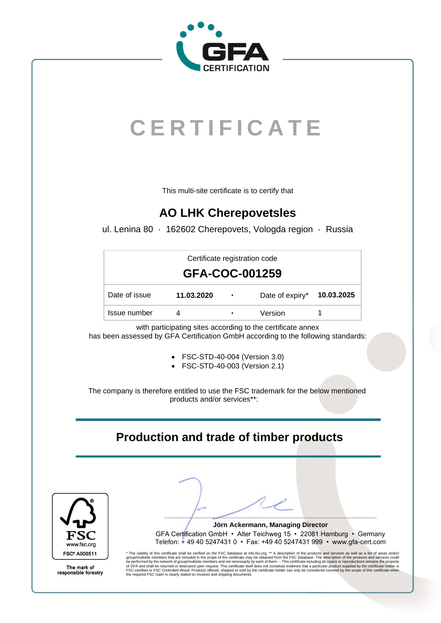

# **C E R T I F I C A T E**

This multi-site certificate is to certify that

### **AO LHK Cherepovetsles**

ul. Lenina 80 · 162602 Cherepovets, Vologda region · Russia

| Certificate registration code<br>GFA-COC-001259 |            |            |                            |  |  |  |  |
|-------------------------------------------------|------------|------------|----------------------------|--|--|--|--|
| Date of issue                                   | 11.03.2020 | <b>COL</b> | Date of expiry* 10.03.2025 |  |  |  |  |
| Issue number                                    |            | ٠          | Version                    |  |  |  |  |

with participating sites according to the certificate annex has been assessed by GFA Certification GmbH according to the following standards:

- FSC-STD-40-004 (Version 3.0)
- FSC-STD-40-003 (Version 2.1)

The company is therefore entitled to use the FSC trademark for the below mentioned products and/or services\*\*:

### **Production and trade of timber products**



The mark of responsible forestry

GFA Certification GmbH • Alter Teichweg 15 • 22081 Hamburg • Germany Telefon: + 49 40 5247431 0 • Fax: +49 40 5247431 999 • www.gfa-cert.com

\* The validity of this certificate shall be verified on the FSC database a[t info.fsc.org.](https://info.fsc.org/) \*\* A description of the products and services as well as a list of areas and/or<br>group/multisite members that are included in the sco the required FSC claim is clearly stated on invoices and shipping documents.